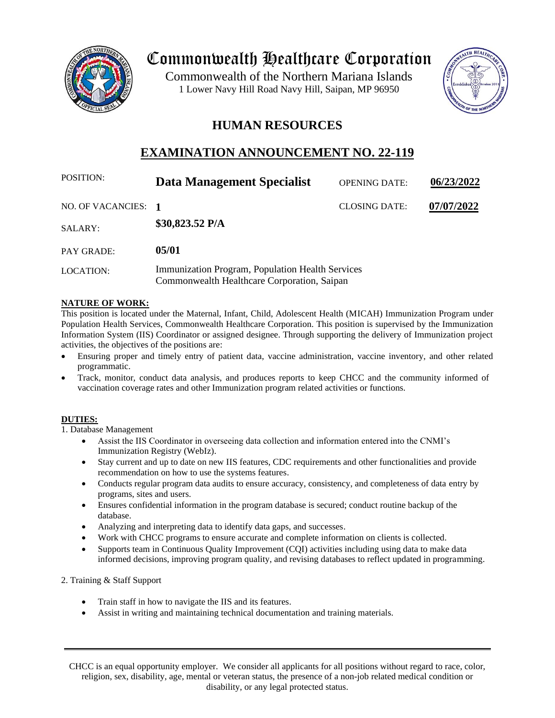

# Commonwealth Healthcare Corporation

 1 Lower Navy Hill Road Navy Hill, Saipan, MP 96950Commonwealth of the Northern Mariana Islands



# **HUMAN RESOURCES**

# **EXAMINATION ANNOUNCEMENT NO. 22-119**

| <b>POSITION:</b>    | Data Management Specialist                                                                      | <b>OPENING DATE:</b> | 06/23/2022 |
|---------------------|-------------------------------------------------------------------------------------------------|----------------------|------------|
| NO. OF VACANCIES: 1 |                                                                                                 | <b>CLOSING DATE:</b> | 07/07/2022 |
| SALARY:             | \$30,823.52 $P/A$                                                                               |                      |            |
| PAY GRADE:          | 05/01                                                                                           |                      |            |
| LOCATION:           | Immunization Program, Population Health Services<br>Commonwealth Healthcare Corporation, Saipan |                      |            |

# **NATURE OF WORK:**

This position is located under the Maternal, Infant, Child, Adolescent Health (MICAH) Immunization Program under Population Health Services, Commonwealth Healthcare Corporation. This position is supervised by the Immunization Information System (IIS) Coordinator or assigned designee. Through supporting the delivery of Immunization project activities, the objectives of the positions are:

- Ensuring proper and timely entry of patient data, vaccine administration, vaccine inventory, and other related programmatic.
- Track, monitor, conduct data analysis, and produces reports to keep CHCC and the community informed of vaccination coverage rates and other Immunization program related activities or functions.

# **DUTIES:**

1. Database Management

- Assist the IIS Coordinator in overseeing data collection and information entered into the CNMI's Immunization Registry (WebIz).
- Stay current and up to date on new IIS features, CDC requirements and other functionalities and provide recommendation on how to use the systems features.
- Conducts regular program data audits to ensure accuracy, consistency, and completeness of data entry by programs, sites and users.
- Ensures confidential information in the program database is secured; conduct routine backup of the database.
- Analyzing and interpreting data to identify data gaps, and successes.
- Work with CHCC programs to ensure accurate and complete information on clients is collected.
- Supports team in Continuous Quality Improvement (CQI) activities including using data to make data informed decisions, improving program quality, and revising databases to reflect updated in programming.
- 2. Training & Staff Support
	- Train staff in how to navigate the IIS and its features.
	- Assist in writing and maintaining technical documentation and training materials.

CHCC is an equal opportunity employer. We consider all applicants for all positions without regard to race, color, religion, sex, disability, age, mental or veteran status, the presence of a non-job related medical condition or disability, or any legal protected status.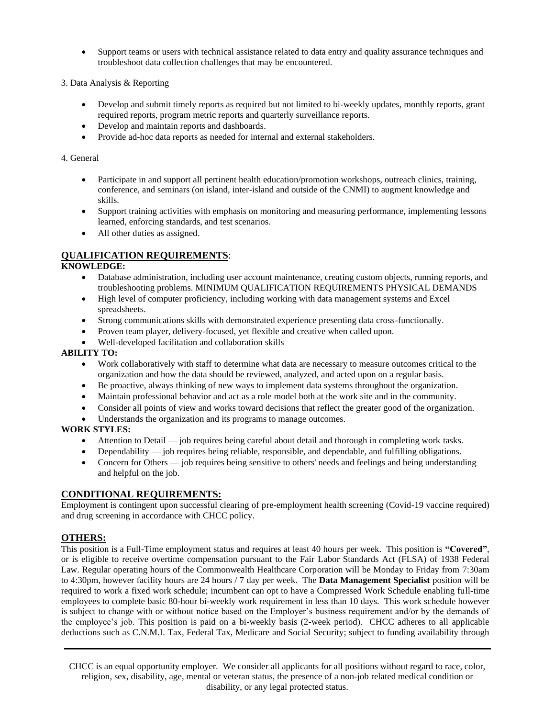- Support teams or users with technical assistance related to data entry and quality assurance techniques and troubleshoot data collection challenges that may be encountered.
- 3. Data Analysis & Reporting
	- Develop and submit timely reports as required but not limited to bi-weekly updates, monthly reports, grant required reports, program metric reports and quarterly surveillance reports.
	- Develop and maintain reports and dashboards.
	- Provide ad-hoc data reports as needed for internal and external stakeholders.

#### 4. General

- Participate in and support all pertinent health education/promotion workshops, outreach clinics, training, conference, and seminars (on island, inter-island and outside of the CNMI) to augment knowledge and skills.
- Support training activities with emphasis on monitoring and measuring performance, implementing lessons learned, enforcing standards, and test scenarios.
- All other duties as assigned.

# **QUALIFICATION REQUIREMENTS**:

#### **KNOWLEDGE:**

- Database administration, including user account maintenance, creating custom objects, running reports, and troubleshooting problems. MINIMUM QUALIFICATION REQUIREMENTS PHYSICAL DEMANDS
- High level of computer proficiency, including working with data management systems and Excel spreadsheets.
- Strong communications skills with demonstrated experience presenting data cross-functionally.
- Proven team player, delivery-focused, yet flexible and creative when called upon.
- Well-developed facilitation and collaboration skills

#### **ABILITY TO:**

- Work collaboratively with staff to determine what data are necessary to measure outcomes critical to the organization and how the data should be reviewed, analyzed, and acted upon on a regular basis.
- Be proactive, always thinking of new ways to implement data systems throughout the organization.
- Maintain professional behavior and act as a role model both at the work site and in the community.
- Consider all points of view and works toward decisions that reflect the greater good of the organization.
- Understands the organization and its programs to manage outcomes.

# **WORK STYLES:**

- Attention to Detail job requires being careful about detail and thorough in completing work tasks.
- Dependability job requires being reliable, responsible, and dependable, and fulfilling obligations.
- Concern for Others job requires being sensitive to others' needs and feelings and being understanding and helpful on the job.

# **CONDITIONAL REQUIREMENTS:**

Employment is contingent upon successful clearing of pre-employment health screening (Covid-19 vaccine required) and drug screening in accordance with CHCC policy.

# **OTHERS:**

This position is a Full-Time employment status and requires at least 40 hours per week. This position is **"Covered"**, or is eligible to receive overtime compensation pursuant to the Fair Labor Standards Act (FLSA) of 1938 Federal Law. Regular operating hours of the Commonwealth Healthcare Corporation will be Monday to Friday from 7:30am to 4:30pm, however facility hours are 24 hours / 7 day per week. The **Data Management Specialist** position will be required to work a fixed work schedule; incumbent can opt to have a Compressed Work Schedule enabling full-time employees to complete basic 80-hour bi-weekly work requirement in less than 10 days. This work schedule however is subject to change with or without notice based on the Employer's business requirement and/or by the demands of the employee's job. This position is paid on a bi-weekly basis (2-week period). CHCC adheres to all applicable deductions such as C.N.M.I. Tax, Federal Tax, Medicare and Social Security; subject to funding availability through

CHCC is an equal opportunity employer. We consider all applicants for all positions without regard to race, color, religion, sex, disability, age, mental or veteran status, the presence of a non-job related medical condition or disability, or any legal protected status.